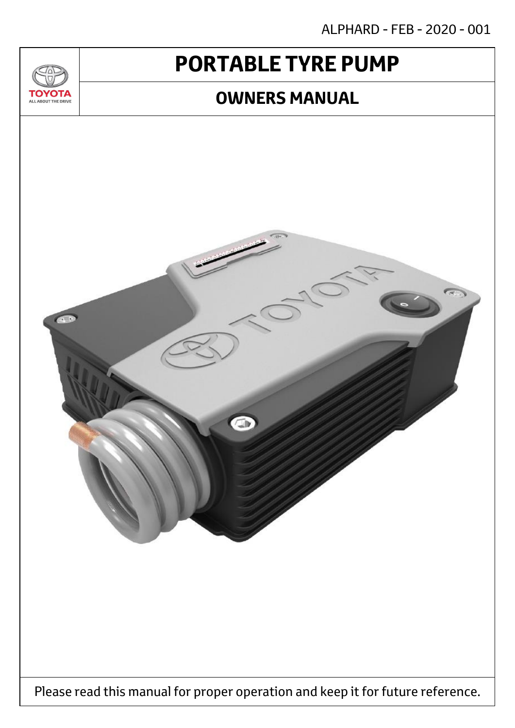ALPHARD - FEB - 2020 - 001

# **PORTABLE TYRE PUMP**

 $T_{\Delta}$ 

**TOYOTA** ALL ABOUT THE DRIVE

### **OWNERS MANUAL**

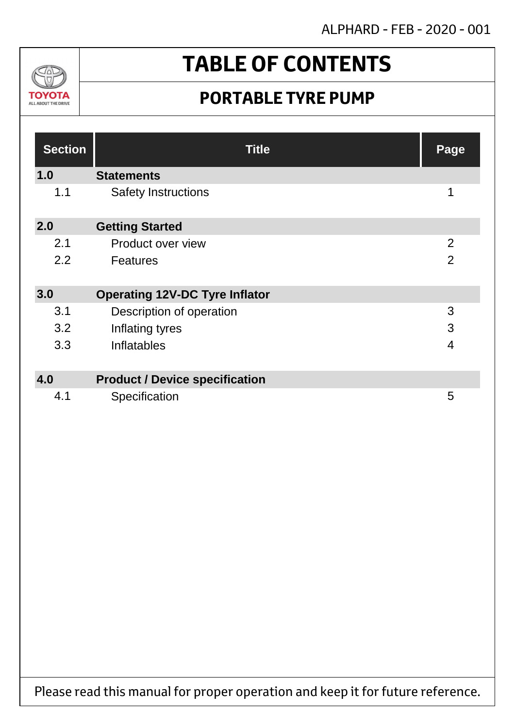ALPHARD - FEB - 2020 - 001



# **TABLE OF CONTENTS**

## **PORTABLE TYRE PUMP**

| <b>Section</b> | <b>Title</b>                          | Page           |
|----------------|---------------------------------------|----------------|
| 1.0            | <b>Statements</b>                     |                |
| 1.1            | <b>Safety Instructions</b>            | 1              |
| 2.0            | <b>Getting Started</b>                |                |
| 2.1            | Product over view                     | $\overline{2}$ |
| 2.2            | <b>Features</b>                       | $\overline{2}$ |
| 3.0            | <b>Operating 12V-DC Tyre Inflator</b> |                |
| 3.1            | Description of operation              | 3              |
| 3.2            | Inflating tyres                       | 3              |
| 3.3            | Inflatables                           | $\overline{4}$ |
|                |                                       |                |
| 4.0            | <b>Product / Device specification</b> |                |
| 4.1            | Specification                         | 5              |

Please read this manual for proper operation and keep it for future reference.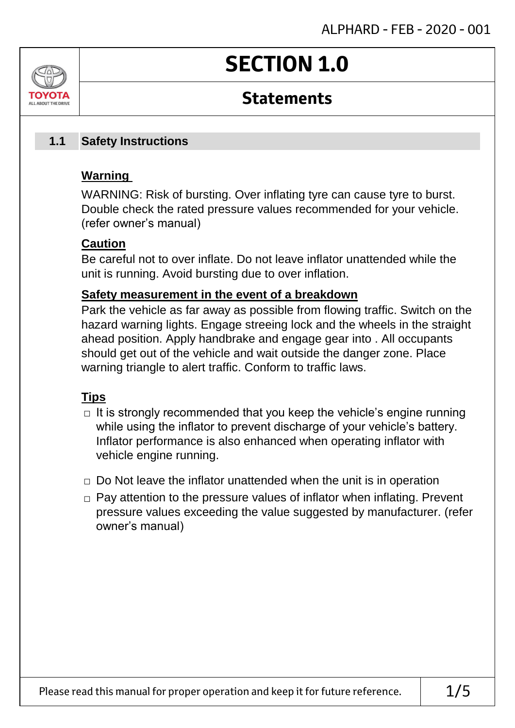# **SECTION 1.0**

### **Statements**

#### **Safety Instructions 1.1**

### **Warning**

ALL AROUT THE DRIV

WARNING: Risk of bursting. Over inflating tyre can cause tyre to burst. Double check the rated pressure values recommended for your vehicle. (refer owner's manual)

### **Caution**

Be careful not to over inflate. Do not leave inflator unattended while the unit is running. Avoid bursting due to over inflation.

### **Safety measurement in the event of a breakdown**

Park the vehicle as far away as possible from flowing traffic. Switch on the hazard warning lights. Engage streeing lock and the wheels in the straight ahead position. Apply handbrake and engage gear into . All occupants should get out of the vehicle and wait outside the danger zone. Place warning triangle to alert traffic. Conform to traffic laws.

### **Tips**

- $\Box$  It is strongly recommended that you keep the vehicle's engine running while using the inflator to prevent discharge of your vehicle's battery. Inflator performance is also enhanced when operating inflator with vehicle engine running.
- $\Box$  Do Not leave the inflator unattended when the unit is in operation
- □ Pay attention to the pressure values of inflator when inflating. Prevent pressure values exceeding the value suggested by manufacturer. (refer owner's manual)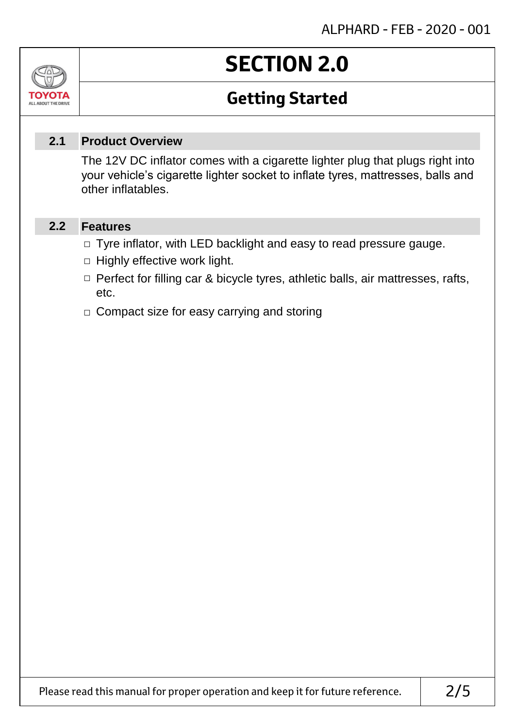# **SECTION 2.0**

# **Getting Started**

#### **Product Overview 2.1**

The 12V DC inflator comes with a cigarette lighter plug that plugs right into your vehicle's cigarette lighter socket to inflate tyres, mattresses, balls and other inflatables.

#### **Features 2.2**

Jn

TOVOIL ALL ABOUT THE DRIVE

- □ Tyre inflator, with LED backlight and easy to read pressure gauge.
- $\Box$  Highly effective work light.
- □ Perfect for filling car & bicycle tyres, athletic balls, air mattresses, rafts, etc.
- □ Compact size for easy carrying and storing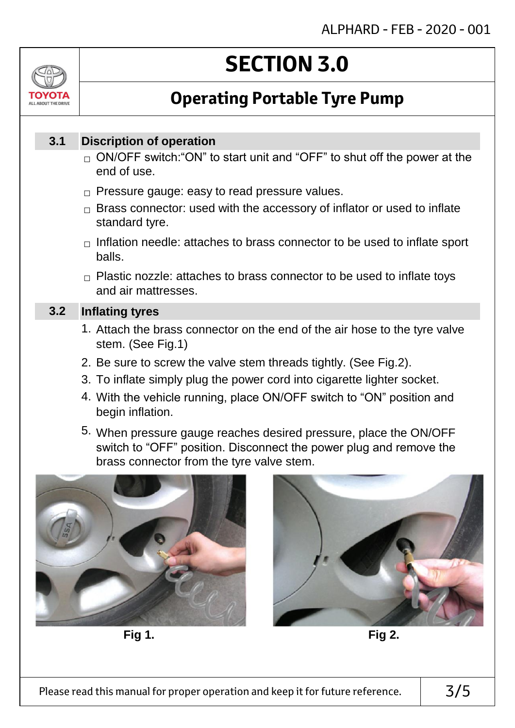# ALL AROUT THE DRIV

# **SECTION 3.0**

# **Operating Portable Tyre Pump**

#### **Discription of operation 3.1**

- $_\square$  ON/OFF switch:"ON" to start unit and "OFF" to shut off the power at the end of use.
- $\Box$  Pressure gauge: easy to read pressure values.
- $\Box$  Brass connector: used with the accessory of inflator or used to inflate standard tyre.
- $\Box$  Inflation needle: attaches to brass connector to be used to inflate sport balls.
- $\Box$  Plastic nozzle: attaches to brass connector to be used to inflate toys and air mattresses.

#### **Inflating tyres 3.2**

- 1. Attach the brass connector on the end of the air hose to the tyre valve stem. (See Fig.1)
- 2. Be sure to screw the valve stem threads tightly. (See Fig.2).
- 3. To inflate simply plug the power cord into cigarette lighter socket.
- 4. With the vehicle running, place ON/OFF switch to "ON" position and begin inflation.
- 5. When pressure gauge reaches desired pressure, place the ON/OFF switch to "OFF" position. Disconnect the power plug and remove the brass connector from the tyre valve stem.



**Fig 1. Fig 2.**

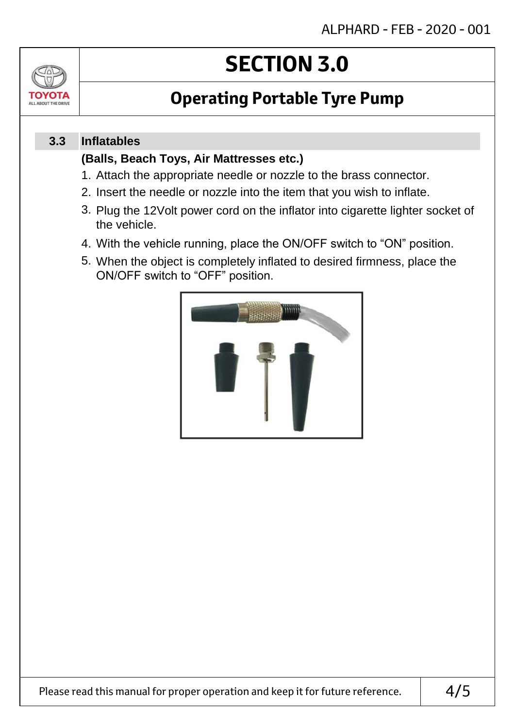

# **SECTION 3.0**

# **Operating Portable Tyre Pump**

#### **Inflatables 3.3**

### **(Balls, Beach Toys, Air Mattresses etc.)**

- 1. Attach the appropriate needle or nozzle to the brass connector.
- 2. Insert the needle or nozzle into the item that you wish to inflate.
- 3. Plug the 12Volt power cord on the inflator into cigarette lighter socket of the vehicle.
- 4. With the vehicle running, place the ON/OFF switch to "ON" position.
- 5. When the object is completely inflated to desired firmness, place the ON/OFF switch to "OFF" position.